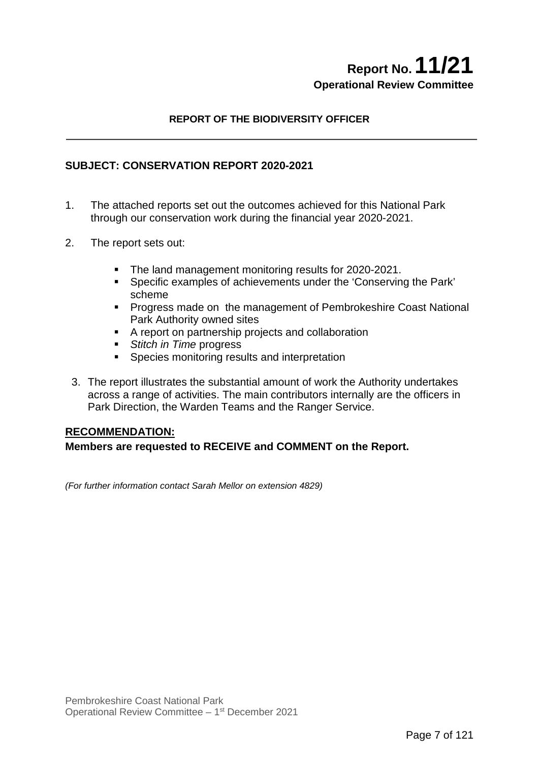# **Report No.11/21 Operational Review Committee**

# **REPORT OF THE BIODIVERSITY OFFICER**

### **SUBJECT: CONSERVATION REPORT 2020-2021**

- 1. The attached reports set out the outcomes achieved for this National Park through our conservation work during the financial year 2020-2021.
- 2. The report sets out:
	- The land management monitoring results for 2020-2021.
	- Specific examples of achievements under the 'Conserving the Park' scheme
	- **Progress made on the management of Pembrokeshire Coast National** Park Authority owned sites
	- A report on partnership projects and collaboration
	- *Stitch in Time* progress
	- **Species monitoring results and interpretation**
	- 3. The report illustrates the substantial amount of work the Authority undertakes across a range of activities. The main contributors internally are the officers in Park Direction, the Warden Teams and the Ranger Service.

#### **RECOMMENDATION:**

#### **Members are requested to RECEIVE and COMMENT on the Report.**

*(For further information contact Sarah Mellor on extension 4829)*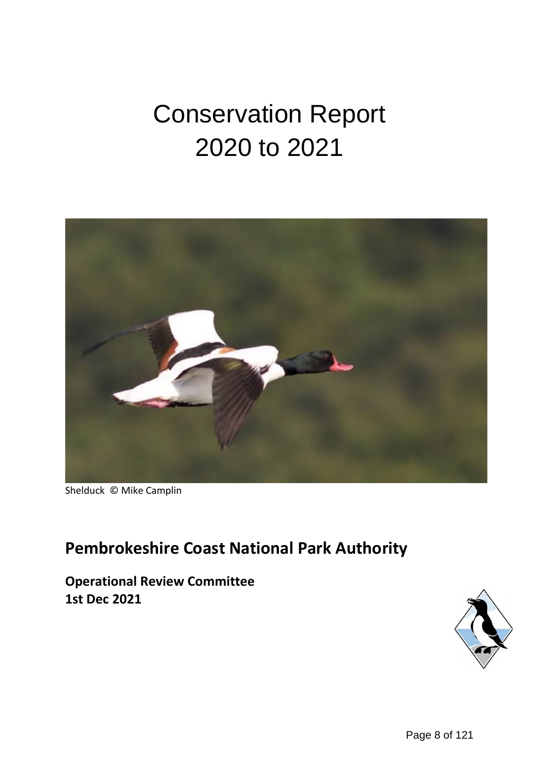# Conservation Report 2020 to 2021



Shelduck © Mike Camplin

# **Pembrokeshire Coast National Park Authority**

**Operational Review Committee 1st Dec 2021**

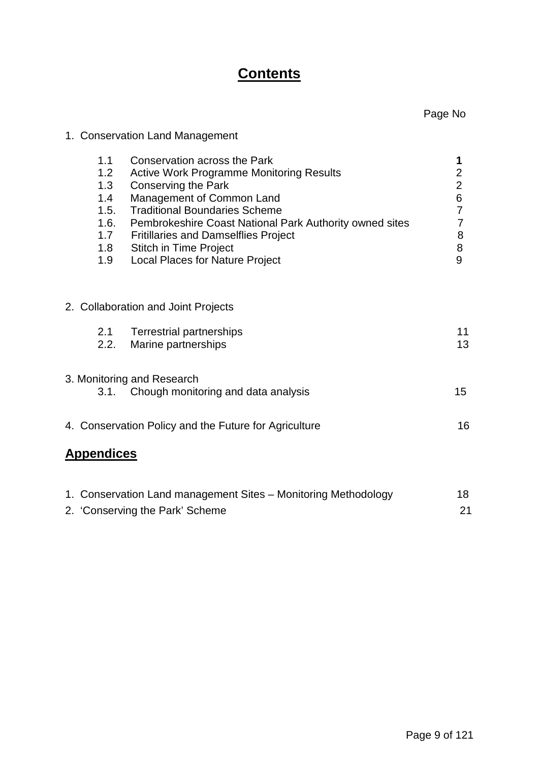# **Contents**

# 1. Conservation Land Management

| 1.1<br>1.2<br>1.3<br>1.4<br>1.5.<br>1.6.<br>1.7<br>1.8<br>1.9 | Conservation across the Park<br><b>Active Work Programme Monitoring Results</b><br><b>Conserving the Park</b><br>Management of Common Land<br><b>Traditional Boundaries Scheme</b><br>Pembrokeshire Coast National Park Authority owned sites<br><b>Fritillaries and Damselflies Project</b><br><b>Stitch in Time Project</b><br><b>Local Places for Nature Project</b> | 1<br>2<br>$\overline{2}$<br>6<br>7<br>7<br>8<br>8<br>9 |
|---------------------------------------------------------------|-------------------------------------------------------------------------------------------------------------------------------------------------------------------------------------------------------------------------------------------------------------------------------------------------------------------------------------------------------------------------|--------------------------------------------------------|
|                                                               |                                                                                                                                                                                                                                                                                                                                                                         |                                                        |
|                                                               | 2. Collaboration and Joint Projects                                                                                                                                                                                                                                                                                                                                     |                                                        |
| 2.1<br>2.2.                                                   | <b>Terrestrial partnerships</b><br>Marine partnerships                                                                                                                                                                                                                                                                                                                  | 11<br>13                                               |
|                                                               | 3. Monitoring and Research                                                                                                                                                                                                                                                                                                                                              |                                                        |
| 3.1.                                                          | Chough monitoring and data analysis                                                                                                                                                                                                                                                                                                                                     | 15 <sub>1</sub>                                        |
|                                                               | 4. Conservation Policy and the Future for Agriculture                                                                                                                                                                                                                                                                                                                   | 16                                                     |
| <b>Appendices</b>                                             |                                                                                                                                                                                                                                                                                                                                                                         |                                                        |
|                                                               |                                                                                                                                                                                                                                                                                                                                                                         |                                                        |
|                                                               |                                                                                                                                                                                                                                                                                                                                                                         |                                                        |

| 1. Conservation Land management Sites - Monitoring Methodology | 18 |
|----------------------------------------------------------------|----|
| 2. 'Conserving the Park' Scheme                                | 21 |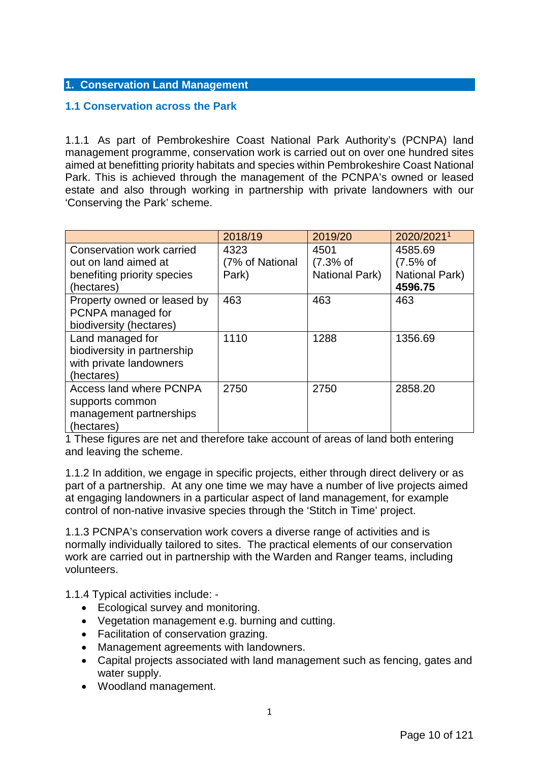#### **1. Conservation Land Management**

# **1.1 Conservation across the Park**

1.1.1 As part of Pembrokeshire Coast National Park Authority's (PCNPA) land management programme, conservation work is carried out on over one hundred sites aimed at benefitting priority habitats and species within Pembrokeshire Coast National Park. This is achieved through the management of the PCNPA's owned or leased estate and also through working in partnership with private landowners with our 'Conserving the Park' scheme.

|                                | 2018/19         | 2019/20        | 2020/20211     |
|--------------------------------|-----------------|----------------|----------------|
| Conservation work carried      | 4323            | 4501           | 4585.69        |
| out on land aimed at           | (7% of National | $(7.3%$ of     | $(7.5%$ of     |
| benefiting priority species    | Park)           | National Park) | National Park) |
| (hectares)                     |                 |                | 4596.75        |
| Property owned or leased by    | 463             | 463            | 463            |
| PCNPA managed for              |                 |                |                |
| biodiversity (hectares)        |                 |                |                |
| Land managed for               | 1110            | 1288           | 1356.69        |
| biodiversity in partnership    |                 |                |                |
| with private landowners        |                 |                |                |
| (hectares)                     |                 |                |                |
| <b>Access land where PCNPA</b> | 2750            | 2750           | 2858.20        |
| supports common                |                 |                |                |
| management partnerships        |                 |                |                |
| (hectares)                     |                 |                |                |

1 These figures are net and therefore take account of areas of land both entering and leaving the scheme.

1.1.2 In addition, we engage in specific projects, either through direct delivery or as part of a partnership. At any one time we may have a number of live projects aimed at engaging landowners in a particular aspect of land management, for example control of non-native invasive species through the 'Stitch in Time' project.

1.1.3 PCNPA's conservation work covers a diverse range of activities and is normally individually tailored to sites. The practical elements of our conservation work are carried out in partnership with the Warden and Ranger teams, including volunteers.

1.1.4 Typical activities include: -

- Ecological survey and monitoring.
- Vegetation management e.g. burning and cutting.
- Facilitation of conservation grazing.
- Management agreements with landowners.
- Capital projects associated with land management such as fencing, gates and water supply.
- Woodland management.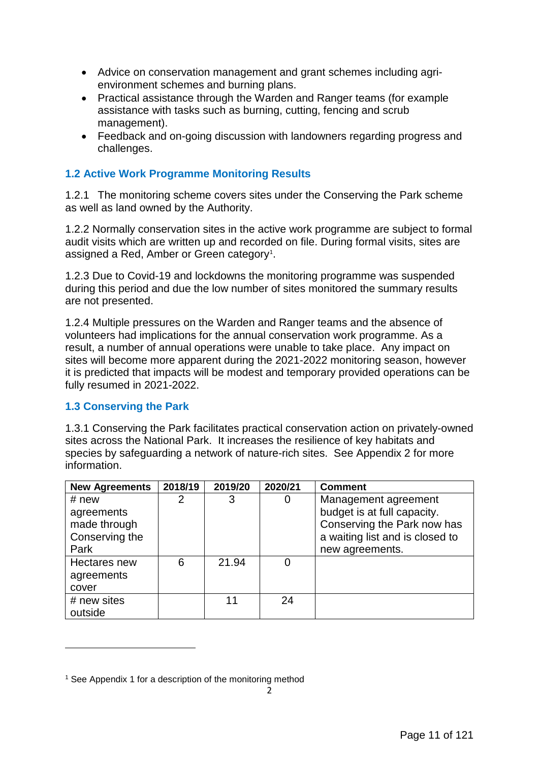- Advice on conservation management and grant schemes including agrienvironment schemes and burning plans.
- Practical assistance through the Warden and Ranger teams (for example assistance with tasks such as burning, cutting, fencing and scrub management).
- Feedback and on-going discussion with landowners regarding progress and challenges.

# **1.2 Active Work Programme Monitoring Results**

1.2.1 The monitoring scheme covers sites under the Conserving the Park scheme as well as land owned by the Authority.

1.2.2 Normally conservation sites in the active work programme are subject to formal audit visits which are written up and recorded on file. During formal visits, sites are assigned a Red, Amber or Green category<sup>[1](#page-4-0)</sup>.

1.2.3 Due to Covid-19 and lockdowns the monitoring programme was suspended during this period and due the low number of sites monitored the summary results are not presented.

1.2.4 Multiple pressures on the Warden and Ranger teams and the absence of volunteers had implications for the annual conservation work programme. As a result, a number of annual operations were unable to take place. Any impact on sites will become more apparent during the 2021-2022 monitoring season, however it is predicted that impacts will be modest and temporary provided operations can be fully resumed in 2021-2022.

# **1.3 Conserving the Park**

<u>.</u>

1.3.1 Conserving the Park facilitates practical conservation action on privately-owned sites across the National Park. It increases the resilience of key habitats and species by safeguarding a network of nature-rich sites. See Appendix 2 for more information.

| <b>New Agreements</b> | 2018/19 | 2019/20 | 2020/21 | <b>Comment</b>                  |
|-----------------------|---------|---------|---------|---------------------------------|
| # new                 |         | 3       | 0       | Management agreement            |
| agreements            |         |         |         | budget is at full capacity.     |
| made through          |         |         |         | Conserving the Park now has     |
| Conserving the        |         |         |         | a waiting list and is closed to |
| Park                  |         |         |         | new agreements.                 |
| Hectares new          | 6       | 21.94   | 0       |                                 |
| agreements            |         |         |         |                                 |
| cover                 |         |         |         |                                 |
| # new sites           |         | 11      | 24      |                                 |
| outside               |         |         |         |                                 |

<span id="page-4-0"></span><sup>&</sup>lt;sup>1</sup> See Appendix 1 for a description of the monitoring method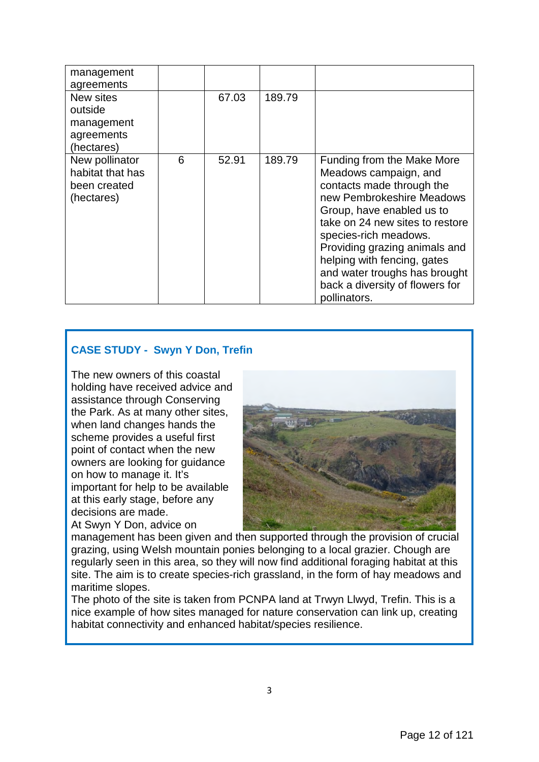| management<br>agreements                                         |   |       |        |                                                                                                                                                                                                                                                                                                                                                            |
|------------------------------------------------------------------|---|-------|--------|------------------------------------------------------------------------------------------------------------------------------------------------------------------------------------------------------------------------------------------------------------------------------------------------------------------------------------------------------------|
| New sites<br>outside<br>management<br>agreements<br>(hectares)   |   | 67.03 | 189.79 |                                                                                                                                                                                                                                                                                                                                                            |
| New pollinator<br>habitat that has<br>been created<br>(hectares) | 6 | 52.91 | 189.79 | Funding from the Make More<br>Meadows campaign, and<br>contacts made through the<br>new Pembrokeshire Meadows<br>Group, have enabled us to<br>take on 24 new sites to restore<br>species-rich meadows.<br>Providing grazing animals and<br>helping with fencing, gates<br>and water troughs has brought<br>back a diversity of flowers for<br>pollinators. |

# **CASE STUDY - Swyn Y Don, Trefin**

The new owners of this coastal holding have received advice and assistance through Conserving the Park. As at many other sites, when land changes hands the scheme provides a useful first point of contact when the new owners are looking for guidance on how to manage it. It's important for help to be available at this early stage, before any decisions are made.

At Swyn Y Don, advice on



management has been given and then supported through the provision of crucial grazing, using Welsh mountain ponies belonging to a local grazier. Chough are regularly seen in this area, so they will now find additional foraging habitat at this site. The aim is to create species-rich grassland, in the form of hay meadows and maritime slopes.

The photo of the site is taken from PCNPA land at Trwyn Llwyd, Trefin. This is a nice example of how sites managed for nature conservation can link up, creating habitat connectivity and enhanced habitat/species resilience.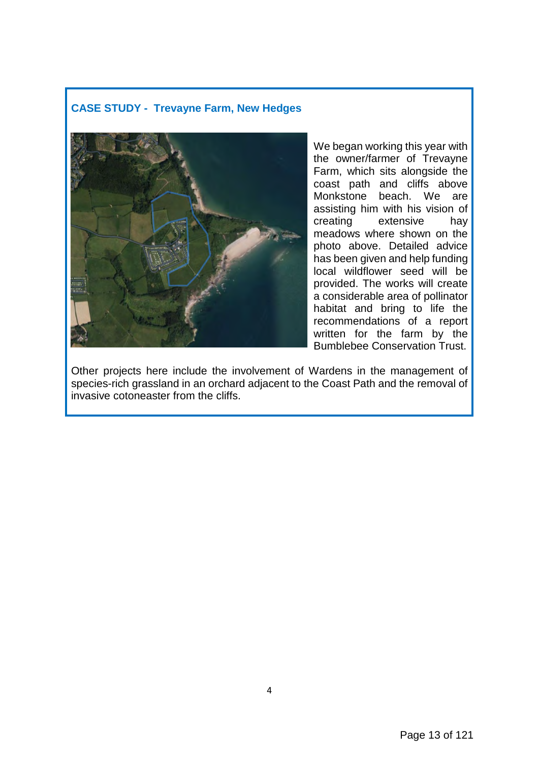# **CASE STUDY - Trevayne Farm, New Hedges**



We began working this year with the owner/farmer of Trevayne Farm, which sits alongside the coast path and cliffs above Monkstone beach. We are assisting him with his vision of creating extensive hay meadows where shown on the photo above. Detailed advice has been given and help funding local wildflower seed will be provided. The works will create a considerable area of pollinator habitat and bring to life the recommendations of a report written for the farm by the Bumblebee Conservation Trust.

Other projects here include the involvement of Wardens in the management of species-rich grassland in an orchard adjacent to the Coast Path and the removal of invasive cotoneaster from the cliffs.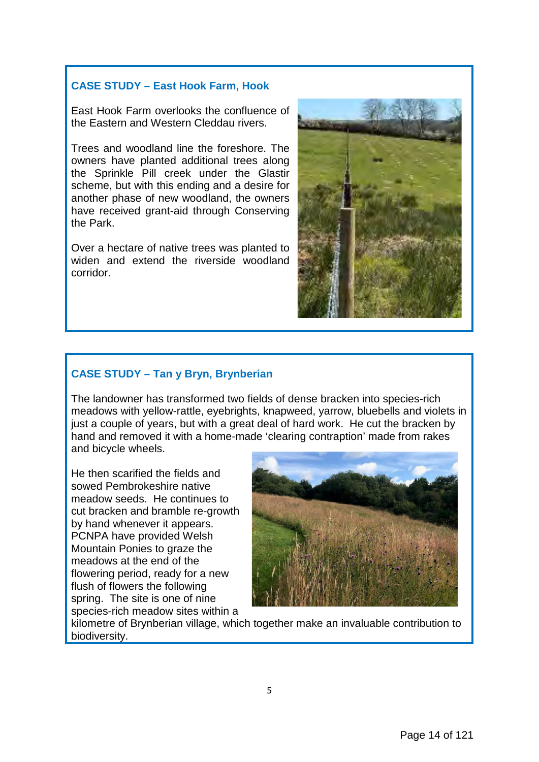# **CASE STUDY – East Hook Farm, Hook**

East Hook Farm overlooks the confluence of the Eastern and Western Cleddau rivers.

Trees and woodland line the foreshore. The owners have planted additional trees along the Sprinkle Pill creek under the Glastir scheme, but with this ending and a desire for another phase of new woodland, the owners have received grant-aid through Conserving the Park.

Over a hectare of native trees was planted to widen and extend the riverside woodland corridor.



### **CASE STUDY – Tan y Bryn, Brynberian**

The landowner has transformed two fields of dense bracken into species-rich meadows with yellow-rattle, eyebrights, knapweed, yarrow, bluebells and violets in just a couple of years, but with a great deal of hard work. He cut the bracken by hand and removed it with a home-made 'clearing contraption' made from rakes and bicycle wheels.

He then scarified the fields and sowed Pembrokeshire native meadow seeds. He continues to cut bracken and bramble re-growth by hand whenever it appears. PCNPA have provided Welsh Mountain Ponies to graze the meadows at the end of the flowering period, ready for a new flush of flowers the following spring. The site is one of nine species-rich meadow sites within a



kilometre of Brynberian village, which together make an invaluable contribution to biodiversity.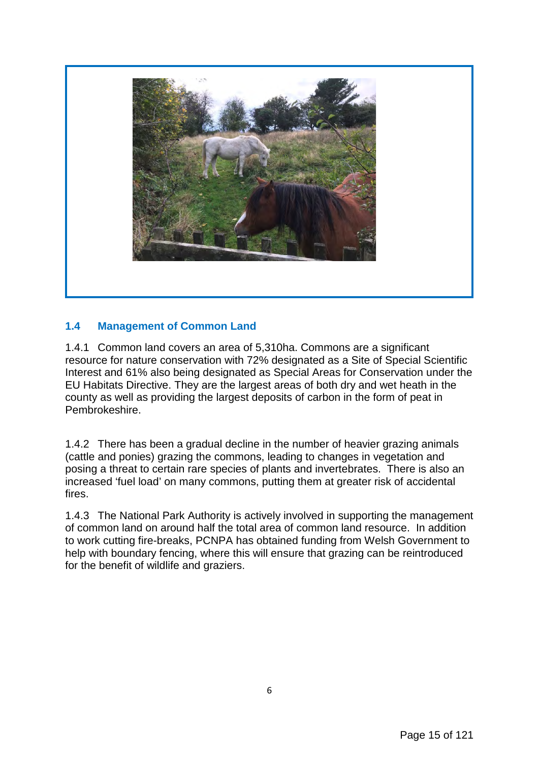

# **1.4 Management of Common Land**

1.4.1 Common land covers an area of 5,310ha. Commons are a significant resource for nature conservation with 72% designated as a Site of Special Scientific Interest and 61% also being designated as Special Areas for Conservation under the EU Habitats Directive. They are the largest areas of both dry and wet heath in the county as well as providing the largest deposits of carbon in the form of peat in Pembrokeshire.

1.4.2 There has been a gradual decline in the number of heavier grazing animals (cattle and ponies) grazing the commons, leading to changes in vegetation and posing a threat to certain rare species of plants and invertebrates. There is also an increased 'fuel load' on many commons, putting them at greater risk of accidental fires.

1.4.3 The National Park Authority is actively involved in supporting the management of common land on around half the total area of common land resource. In addition to work cutting fire-breaks, PCNPA has obtained funding from Welsh Government to help with boundary fencing, where this will ensure that grazing can be reintroduced for the benefit of wildlife and graziers.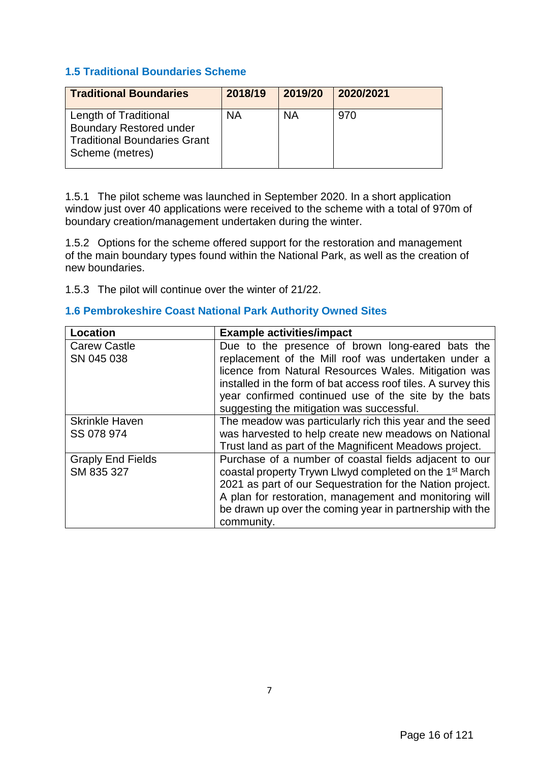### **1.5 Traditional Boundaries Scheme**

| <b>Traditional Boundaries</b>                                                                                     | 2018/19 | 2019/20   | 2020/2021 |
|-------------------------------------------------------------------------------------------------------------------|---------|-----------|-----------|
| Length of Traditional<br><b>Boundary Restored under</b><br><b>Traditional Boundaries Grant</b><br>Scheme (metres) | ΝA      | <b>NA</b> | 970       |

1.5.1 The pilot scheme was launched in September 2020. In a short application window just over 40 applications were received to the scheme with a total of 970m of boundary creation/management undertaken during the winter.

1.5.2 Options for the scheme offered support for the restoration and management of the main boundary types found within the National Park, as well as the creation of new boundaries.

1.5.3 The pilot will continue over the winter of 21/22.

### **1.6 Pembrokeshire Coast National Park Authority Owned Sites**

| Location                 | <b>Example activities/impact</b>                                                                                                                                                                                                                                                  |
|--------------------------|-----------------------------------------------------------------------------------------------------------------------------------------------------------------------------------------------------------------------------------------------------------------------------------|
| <b>Carew Castle</b>      | Due to the presence of brown long-eared bats the                                                                                                                                                                                                                                  |
| SN 045 038               | replacement of the Mill roof was undertaken under a<br>licence from Natural Resources Wales. Mitigation was<br>installed in the form of bat access roof tiles. A survey this<br>year confirmed continued use of the site by the bats<br>suggesting the mitigation was successful. |
| <b>Skrinkle Haven</b>    | The meadow was particularly rich this year and the seed                                                                                                                                                                                                                           |
| SS 078 974               | was harvested to help create new meadows on National<br>Trust land as part of the Magnificent Meadows project.                                                                                                                                                                    |
| <b>Graply End Fields</b> | Purchase of a number of coastal fields adjacent to our                                                                                                                                                                                                                            |
| SM 835 327               | coastal property Trywn Llwyd completed on the 1 <sup>st</sup> March                                                                                                                                                                                                               |
|                          | 2021 as part of our Sequestration for the Nation project.                                                                                                                                                                                                                         |
|                          | A plan for restoration, management and monitoring will                                                                                                                                                                                                                            |
|                          | be drawn up over the coming year in partnership with the                                                                                                                                                                                                                          |
|                          | community.                                                                                                                                                                                                                                                                        |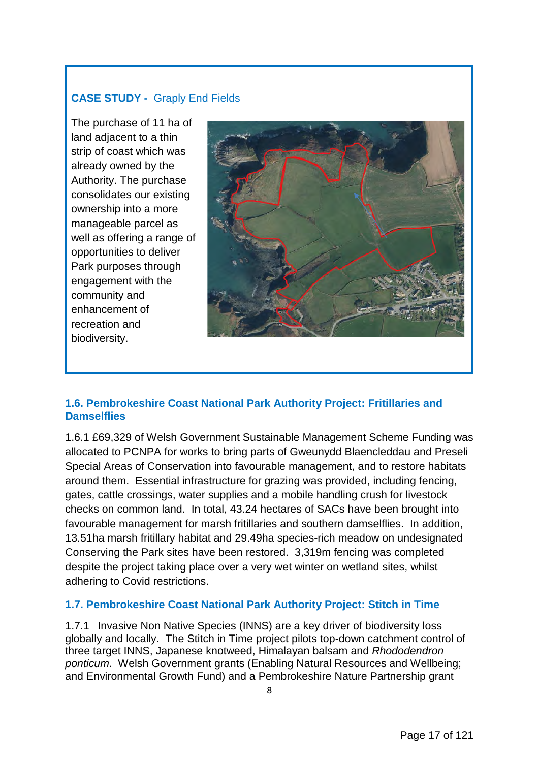# **CASE STUDY -** Graply End Fields

The purchase of 11 ha of land adjacent to a thin strip of coast which was already owned by the Authority. The purchase consolidates our existing ownership into a more manageable parcel as well as offering a range of opportunities to deliver Park purposes through engagement with the community and enhancement of recreation and biodiversity.



# **1.6. Pembrokeshire Coast National Park Authority Project: Fritillaries and Damselflies**

1.6.1 £69,329 of Welsh Government Sustainable Management Scheme Funding was allocated to PCNPA for works to bring parts of Gweunydd Blaencleddau and Preseli Special Areas of Conservation into favourable management, and to restore habitats around them. Essential infrastructure for grazing was provided, including fencing, gates, cattle crossings, water supplies and a mobile handling crush for livestock checks on common land. In total, 43.24 hectares of SACs have been brought into favourable management for marsh fritillaries and southern damselflies. In addition, 13.51ha marsh fritillary habitat and 29.49ha species-rich meadow on undesignated Conserving the Park sites have been restored. 3,319m fencing was completed despite the project taking place over a very wet winter on wetland sites, whilst adhering to Covid restrictions.

# **1.7. Pembrokeshire Coast National Park Authority Project: Stitch in Time**

1.7.1 Invasive Non Native Species (INNS) are a key driver of biodiversity loss globally and locally. The Stitch in Time project pilots top-down catchment control of three target INNS, Japanese knotweed, Himalayan balsam and *Rhododendron ponticum*. Welsh Government grants (Enabling Natural Resources and Wellbeing; and Environmental Growth Fund) and a Pembrokeshire Nature Partnership grant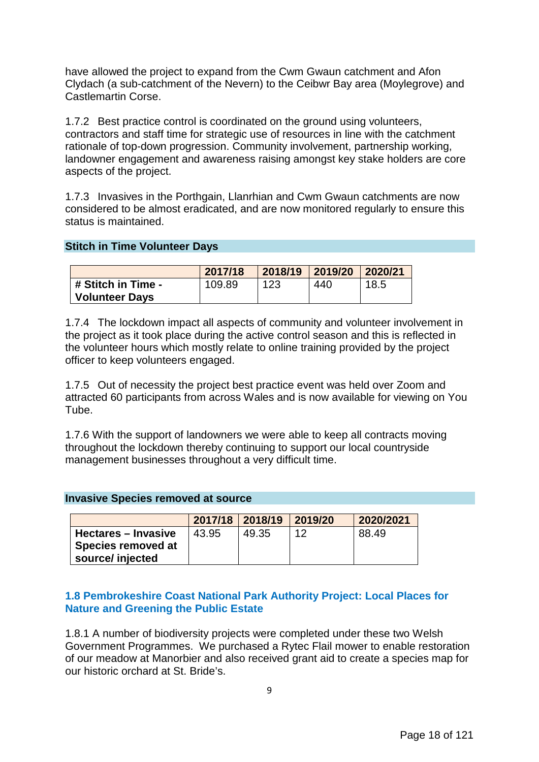have allowed the project to expand from the Cwm Gwaun catchment and Afon Clydach (a sub-catchment of the Nevern) to the Ceibwr Bay area (Moylegrove) and Castlemartin Corse.

1.7.2 Best practice control is coordinated on the ground using volunteers, contractors and staff time for strategic use of resources in line with the catchment rationale of top-down progression. Community involvement, partnership working, landowner engagement and awareness raising amongst key stake holders are core aspects of the project.

1.7.3 Invasives in the Porthgain, Llanrhian and Cwm Gwaun catchments are now considered to be almost eradicated, and are now monitored regularly to ensure this status is maintained.

#### **Stitch in Time Volunteer Days**

|                    | 2017/18 | 2018/19 | 2019/20 2020/21 |      |
|--------------------|---------|---------|-----------------|------|
| # Stitch in Time - | 109.89  | 123     | 440             | 18.5 |
| Volunteer Days     |         |         |                 |      |

1.7.4 The lockdown impact all aspects of community and volunteer involvement in the project as it took place during the active control season and this is reflected in the volunteer hours which mostly relate to online training provided by the project officer to keep volunteers engaged.

1.7.5 Out of necessity the project best practice event was held over Zoom and attracted 60 participants from across Wales and is now available for viewing on You Tube.

1.7.6 With the support of landowners we were able to keep all contracts moving throughout the lockdown thereby continuing to support our local countryside management businesses throughout a very difficult time.

#### **Invasive Species removed at source**

|                                                    |       | 2017/18 2018/19 2019/20 |    | 2020/2021 |
|----------------------------------------------------|-------|-------------------------|----|-----------|
| ' Hectares – Invasive<br><b>Species removed at</b> | 43.95 | 49.35                   | 12 | 88.49     |
| source/ injected                                   |       |                         |    |           |

#### **1.8 Pembrokeshire Coast National Park Authority Project: Local Places for Nature and Greening the Public Estate**

1.8.1 A number of biodiversity projects were completed under these two Welsh Government Programmes. We purchased a Rytec Flail mower to enable restoration of our meadow at Manorbier and also received grant aid to create a species map for our historic orchard at St. Bride's.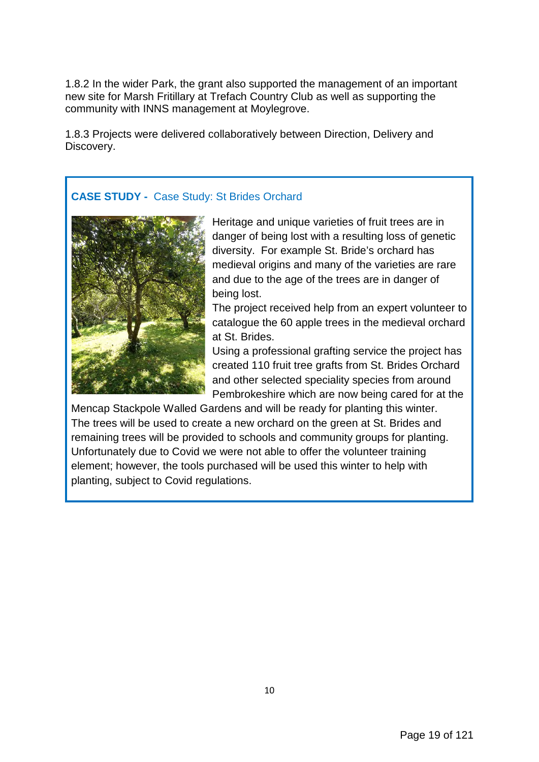1.8.2 In the wider Park, the grant also supported the management of an important new site for Marsh Fritillary at Trefach Country Club as well as supporting the community with INNS management at Moylegrove.

1.8.3 Projects were delivered collaboratively between Direction, Delivery and Discovery.

# **CASE STUDY -** Case Study: St Brides Orchard



Heritage and unique varieties of fruit trees are in danger of being lost with a resulting loss of genetic diversity. For example St. Bride's orchard has medieval origins and many of the varieties are rare and due to the age of the trees are in danger of being lost.

The project received help from an expert volunteer to catalogue the 60 apple trees in the medieval orchard at St. Brides.

Using a professional grafting service the project has created 110 fruit tree grafts from St. Brides Orchard and other selected speciality species from around Pembrokeshire which are now being cared for at the

Mencap Stackpole Walled Gardens and will be ready for planting this winter. The trees will be used to create a new orchard on the green at St. Brides and remaining trees will be provided to schools and community groups for planting. Unfortunately due to Covid we were not able to offer the volunteer training element; however, the tools purchased will be used this winter to help with planting, subject to Covid regulations.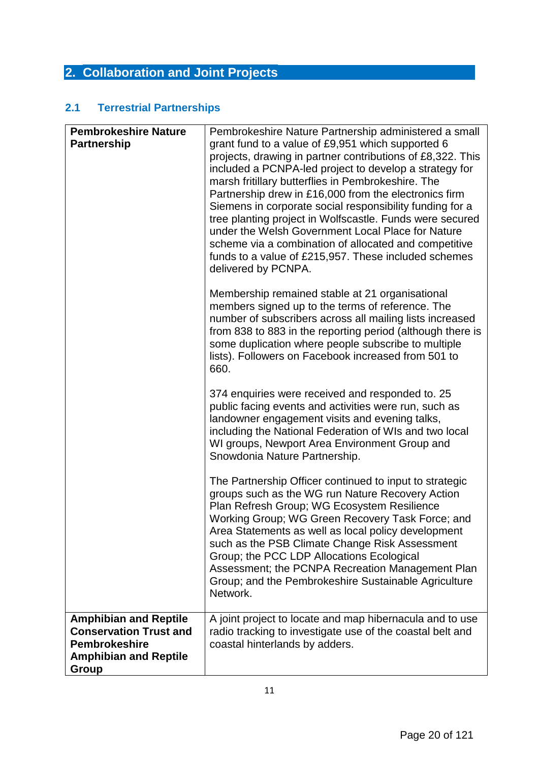# **2. Collaboration and Joint Projects**

# **2.1 Terrestrial Partnerships**

| <b>Pembrokeshire Nature</b><br><b>Partnership</b>                                                                              | Pembrokeshire Nature Partnership administered a small<br>grant fund to a value of £9,951 which supported 6<br>projects, drawing in partner contributions of £8,322. This<br>included a PCNPA-led project to develop a strategy for<br>marsh fritillary butterflies in Pembrokeshire. The<br>Partnership drew in £16,000 from the electronics firm<br>Siemens in corporate social responsibility funding for a<br>tree planting project in Wolfscastle. Funds were secured<br>under the Welsh Government Local Place for Nature<br>scheme via a combination of allocated and competitive<br>funds to a value of £215,957. These included schemes<br>delivered by PCNPA. |
|--------------------------------------------------------------------------------------------------------------------------------|------------------------------------------------------------------------------------------------------------------------------------------------------------------------------------------------------------------------------------------------------------------------------------------------------------------------------------------------------------------------------------------------------------------------------------------------------------------------------------------------------------------------------------------------------------------------------------------------------------------------------------------------------------------------|
|                                                                                                                                | Membership remained stable at 21 organisational<br>members signed up to the terms of reference. The<br>number of subscribers across all mailing lists increased<br>from 838 to 883 in the reporting period (although there is<br>some duplication where people subscribe to multiple<br>lists). Followers on Facebook increased from 501 to<br>660.                                                                                                                                                                                                                                                                                                                    |
|                                                                                                                                | 374 enquiries were received and responded to. 25<br>public facing events and activities were run, such as<br>landowner engagement visits and evening talks,<br>including the National Federation of WIs and two local<br>WI groups, Newport Area Environment Group and<br>Snowdonia Nature Partnership.                                                                                                                                                                                                                                                                                                                                                                |
|                                                                                                                                | The Partnership Officer continued to input to strategic<br>groups such as the WG run Nature Recovery Action<br>Plan Refresh Group; WG Ecosystem Resilience<br>Working Group; WG Green Recovery Task Force; and<br>Area Statements as well as local policy development<br>such as the PSB Climate Change Risk Assessment<br>Group; the PCC LDP Allocations Ecological<br>Assessment; the PCNPA Recreation Management Plan<br>Group; and the Pembrokeshire Sustainable Agriculture<br>Network.                                                                                                                                                                           |
| <b>Amphibian and Reptile</b><br><b>Conservation Trust and</b><br><b>Pembrokeshire</b><br><b>Amphibian and Reptile</b><br>Group | A joint project to locate and map hibernacula and to use<br>radio tracking to investigate use of the coastal belt and<br>coastal hinterlands by adders.                                                                                                                                                                                                                                                                                                                                                                                                                                                                                                                |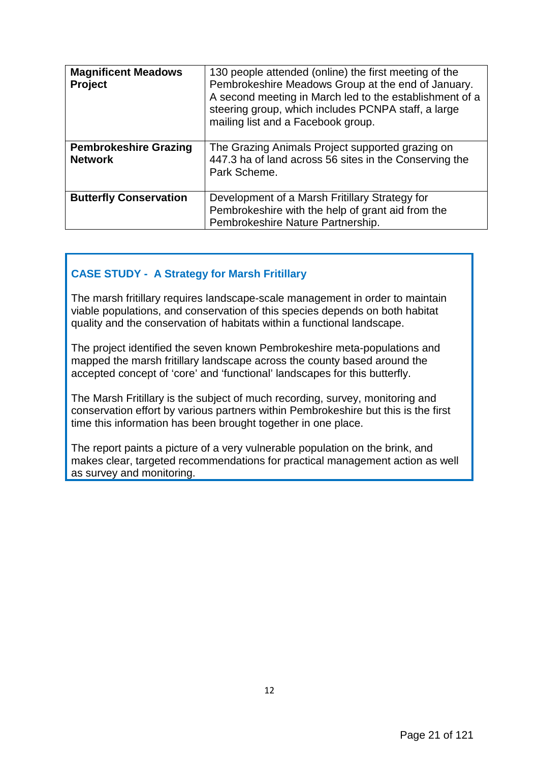| <b>Magnificent Meadows</b><br><b>Project</b>   | 130 people attended (online) the first meeting of the<br>Pembrokeshire Meadows Group at the end of January.<br>A second meeting in March led to the establishment of a<br>steering group, which includes PCNPA staff, a large<br>mailing list and a Facebook group. |
|------------------------------------------------|---------------------------------------------------------------------------------------------------------------------------------------------------------------------------------------------------------------------------------------------------------------------|
| <b>Pembrokeshire Grazing</b><br><b>Network</b> | The Grazing Animals Project supported grazing on<br>447.3 ha of land across 56 sites in the Conserving the<br>Park Scheme.                                                                                                                                          |
| <b>Butterfly Conservation</b>                  | Development of a Marsh Fritillary Strategy for<br>Pembrokeshire with the help of grant aid from the<br>Pembrokeshire Nature Partnership.                                                                                                                            |

# **CASE STUDY - A Strategy for Marsh Fritillary**

The marsh fritillary requires landscape-scale management in order to maintain viable populations, and conservation of this species depends on both habitat quality and the conservation of habitats within a functional landscape.

The project identified the seven known Pembrokeshire meta-populations and mapped the marsh fritillary landscape across the county based around the accepted concept of 'core' and 'functional' landscapes for this butterfly.

The Marsh Fritillary is the subject of much recording, survey, monitoring and conservation effort by various partners within Pembrokeshire but this is the first time this information has been brought together in one place.

The report paints a picture of a very vulnerable population on the brink, and makes clear, targeted recommendations for practical management action as well as survey and monitoring.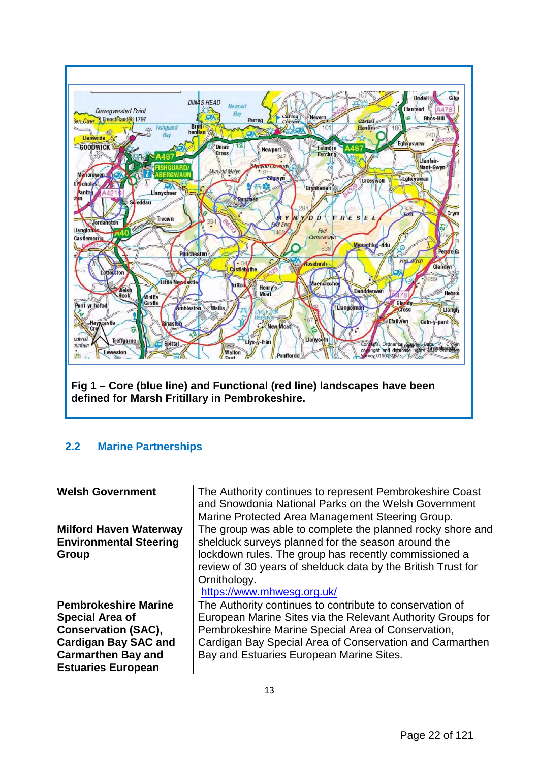

# **2.2 Marine Partnerships**

| <b>Welsh Government</b>       | The Authority continues to represent Pembrokeshire Coast     |
|-------------------------------|--------------------------------------------------------------|
|                               | and Snowdonia National Parks on the Welsh Government         |
|                               | Marine Protected Area Management Steering Group.             |
| <b>Milford Haven Waterway</b> | The group was able to complete the planned rocky shore and   |
| <b>Environmental Steering</b> | shelduck surveys planned for the season around the           |
| Group                         | lockdown rules. The group has recently commissioned a        |
|                               | review of 30 years of shelduck data by the British Trust for |
|                               | Ornithology.                                                 |
|                               | https://www.mhwesg.org.uk/                                   |
| <b>Pembrokeshire Marine</b>   | The Authority continues to contribute to conservation of     |
| <b>Special Area of</b>        | European Marine Sites via the Relevant Authority Groups for  |
| <b>Conservation (SAC),</b>    | Pembrokeshire Marine Special Area of Conservation,           |
| <b>Cardigan Bay SAC and</b>   | Cardigan Bay Special Area of Conservation and Carmarthen     |
| <b>Carmarthen Bay and</b>     | Bay and Estuaries European Marine Sites.                     |
| <b>Estuaries European</b>     |                                                              |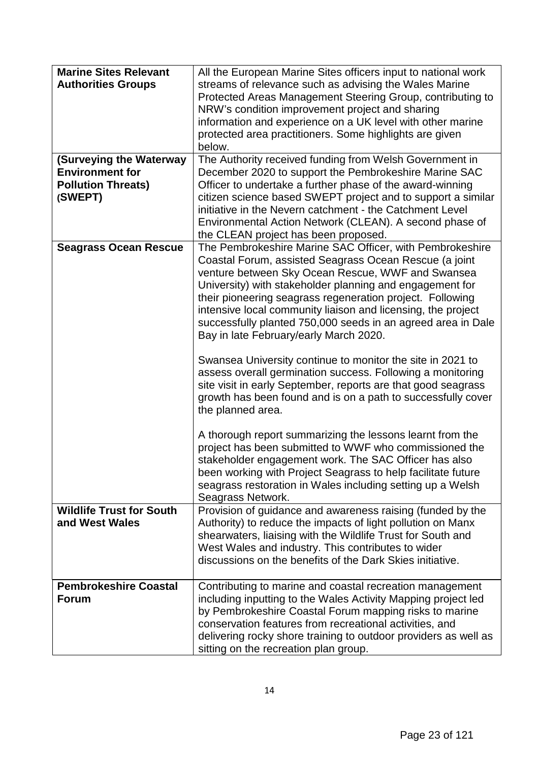| <b>Marine Sites Relevant</b>    | All the European Marine Sites officers input to national work   |  |  |
|---------------------------------|-----------------------------------------------------------------|--|--|
| <b>Authorities Groups</b>       | streams of relevance such as advising the Wales Marine          |  |  |
|                                 | Protected Areas Management Steering Group, contributing to      |  |  |
|                                 | NRW's condition improvement project and sharing                 |  |  |
|                                 | information and experience on a UK level with other marine      |  |  |
|                                 | protected area practitioners. Some highlights are given         |  |  |
|                                 | below.                                                          |  |  |
| (Surveying the Waterway         | The Authority received funding from Welsh Government in         |  |  |
| <b>Environment for</b>          | December 2020 to support the Pembrokeshire Marine SAC           |  |  |
| <b>Pollution Threats)</b>       | Officer to undertake a further phase of the award-winning       |  |  |
| (SWEPT)                         | citizen science based SWEPT project and to support a similar    |  |  |
|                                 | initiative in the Nevern catchment - the Catchment Level        |  |  |
|                                 | Environmental Action Network (CLEAN). A second phase of         |  |  |
|                                 | the CLEAN project has been proposed.                            |  |  |
| <b>Seagrass Ocean Rescue</b>    | The Pembrokeshire Marine SAC Officer, with Pembrokeshire        |  |  |
|                                 | Coastal Forum, assisted Seagrass Ocean Rescue (a joint          |  |  |
|                                 | venture between Sky Ocean Rescue, WWF and Swansea               |  |  |
|                                 | University) with stakeholder planning and engagement for        |  |  |
|                                 | their pioneering seagrass regeneration project. Following       |  |  |
|                                 | intensive local community liaison and licensing, the project    |  |  |
|                                 | successfully planted 750,000 seeds in an agreed area in Dale    |  |  |
|                                 | Bay in late February/early March 2020.                          |  |  |
|                                 |                                                                 |  |  |
|                                 | Swansea University continue to monitor the site in 2021 to      |  |  |
|                                 | assess overall germination success. Following a monitoring      |  |  |
|                                 | site visit in early September, reports are that good seagrass   |  |  |
|                                 | growth has been found and is on a path to successfully cover    |  |  |
|                                 | the planned area.                                               |  |  |
|                                 |                                                                 |  |  |
|                                 | A thorough report summarizing the lessons learnt from the       |  |  |
|                                 | project has been submitted to WWF who commissioned the          |  |  |
|                                 | stakeholder engagement work. The SAC Officer has also           |  |  |
|                                 | been working with Project Seagrass to help facilitate future    |  |  |
|                                 | seagrass restoration in Wales including setting up a Welsh      |  |  |
|                                 | Seagrass Network.                                               |  |  |
| <b>Wildlife Trust for South</b> | Provision of guidance and awareness raising (funded by the      |  |  |
| and West Wales                  | Authority) to reduce the impacts of light pollution on Manx     |  |  |
|                                 | shearwaters, liaising with the Wildlife Trust for South and     |  |  |
|                                 | West Wales and industry. This contributes to wider              |  |  |
|                                 | discussions on the benefits of the Dark Skies initiative.       |  |  |
|                                 |                                                                 |  |  |
| <b>Pembrokeshire Coastal</b>    | Contributing to marine and coastal recreation management        |  |  |
| <b>Forum</b>                    | including inputting to the Wales Activity Mapping project led   |  |  |
|                                 | by Pembrokeshire Coastal Forum mapping risks to marine          |  |  |
|                                 | conservation features from recreational activities, and         |  |  |
|                                 | delivering rocky shore training to outdoor providers as well as |  |  |
|                                 | sitting on the recreation plan group.                           |  |  |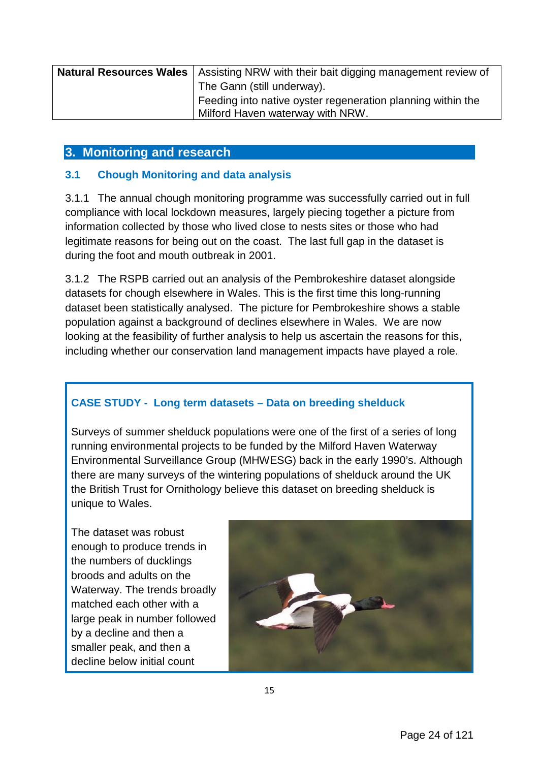| <b>Natural Resources Wales</b>   Assisting NRW with their bait digging management review of |  |  |
|---------------------------------------------------------------------------------------------|--|--|
| The Gann (still underway).                                                                  |  |  |
| Feeding into native oyster regeneration planning within the                                 |  |  |
| Milford Haven waterway with NRW.                                                            |  |  |

# **3. Monitoring and research**

# **3.1 Chough Monitoring and data analysis**

3.1.1 The annual chough monitoring programme was successfully carried out in full compliance with local lockdown measures, largely piecing together a picture from information collected by those who lived close to nests sites or those who had legitimate reasons for being out on the coast. The last full gap in the dataset is during the foot and mouth outbreak in 2001.

3.1.2 The RSPB carried out an analysis of the Pembrokeshire dataset alongside datasets for chough elsewhere in Wales. This is the first time this long-running dataset been statistically analysed. The picture for Pembrokeshire shows a stable population against a background of declines elsewhere in Wales. We are now looking at the feasibility of further analysis to help us ascertain the reasons for this, including whether our conservation land management impacts have played a role.

# **CASE STUDY - Long term datasets – Data on breeding shelduck**

Surveys of summer shelduck populations were one of the first of a series of long running environmental projects to be funded by the Milford Haven Waterway Environmental Surveillance Group (MHWESG) back in the early 1990's. Although there are many surveys of the wintering populations of shelduck around the UK the British Trust for Ornithology believe this dataset on breeding shelduck is unique to Wales.

The dataset was robust enough to produce trends in the numbers of ducklings broods and adults on the Waterway. The trends broadly matched each other with a large peak in number followed by a decline and then a smaller peak, and then a decline below initial count

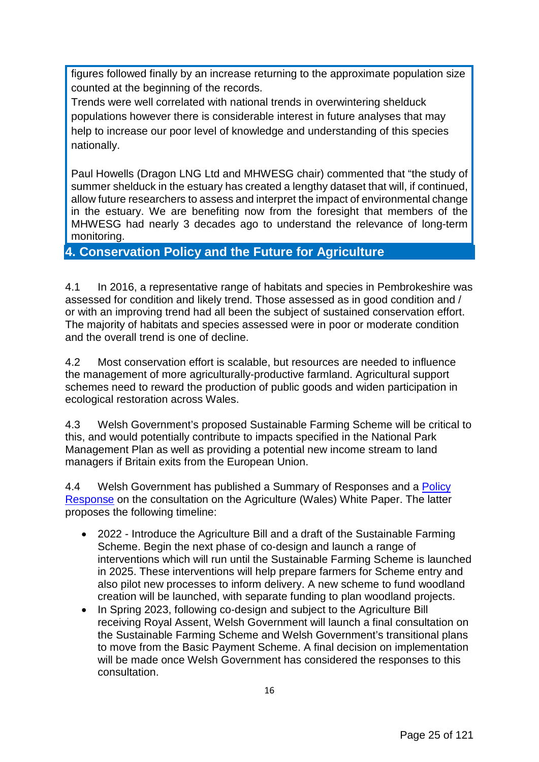figures followed finally by an increase returning to the approximate population size counted at the beginning of the records.

Trends were well correlated with national trends in overwintering shelduck populations however there is considerable interest in future analyses that may help to increase our poor level of knowledge and understanding of this species nationally.

Paul Howells (Dragon LNG Ltd and MHWESG chair) commented that "the study of summer shelduck in the estuary has created a lengthy dataset that will, if continued, allow future researchers to assess and interpret the impact of environmental change in the estuary. We are benefiting now from the foresight that members of the MHWESG had nearly 3 decades ago to understand the relevance of long-term monitoring.

# **4. Conservation Policy and the Future for Agriculture**

4.1 In 2016, a representative range of habitats and species in Pembrokeshire was assessed for condition and likely trend. Those assessed as in good condition and / or with an improving trend had all been the subject of sustained conservation effort. The majority of habitats and species assessed were in poor or moderate condition and the overall trend is one of decline.

4.2 Most conservation effort is scalable, but resources are needed to influence the management of more agriculturally-productive farmland. Agricultural support schemes need to reward the production of public goods and widen participation in ecological restoration across Wales.

4.3 Welsh Government's proposed Sustainable Farming Scheme will be critical to this, and would potentially contribute to impacts specified in the National Park Management Plan as well as providing a potential new income stream to land managers if Britain exits from the European Union.

4.4 Welsh Government has published a Summary of Responses and a Policy [Response](https://gov.wales/sites/default/files/consultations/2021-09/agriculture-wales-bill-our-response-forward-plan.pdf) on the consultation on the Agriculture (Wales) White Paper. The latter proposes the following timeline:

- 2022 Introduce the Agriculture Bill and a draft of the Sustainable Farming Scheme. Begin the next phase of co-design and launch a range of interventions which will run until the Sustainable Farming Scheme is launched in 2025. These interventions will help prepare farmers for Scheme entry and also pilot new processes to inform delivery. A new scheme to fund woodland creation will be launched, with separate funding to plan woodland projects.
- In Spring 2023, following co-design and subject to the Agriculture Bill receiving Royal Assent, Welsh Government will launch a final consultation on the Sustainable Farming Scheme and Welsh Government's transitional plans to move from the Basic Payment Scheme. A final decision on implementation will be made once Welsh Government has considered the responses to this consultation.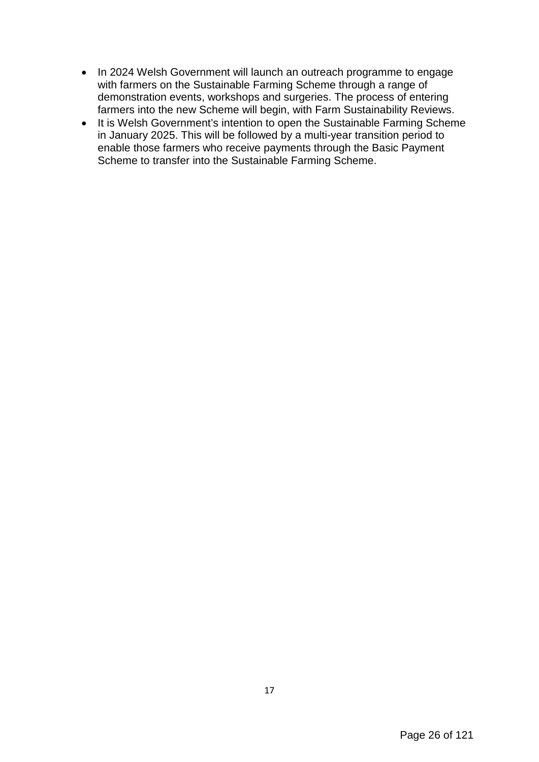- In 2024 Welsh Government will launch an outreach programme to engage with farmers on the Sustainable Farming Scheme through a range of demonstration events, workshops and surgeries. The process of entering farmers into the new Scheme will begin, with Farm Sustainability Reviews.
- It is Welsh Government's intention to open the Sustainable Farming Scheme in January 2025. This will be followed by a multi-year transition period to enable those farmers who receive payments through the Basic Payment Scheme to transfer into the Sustainable Farming Scheme.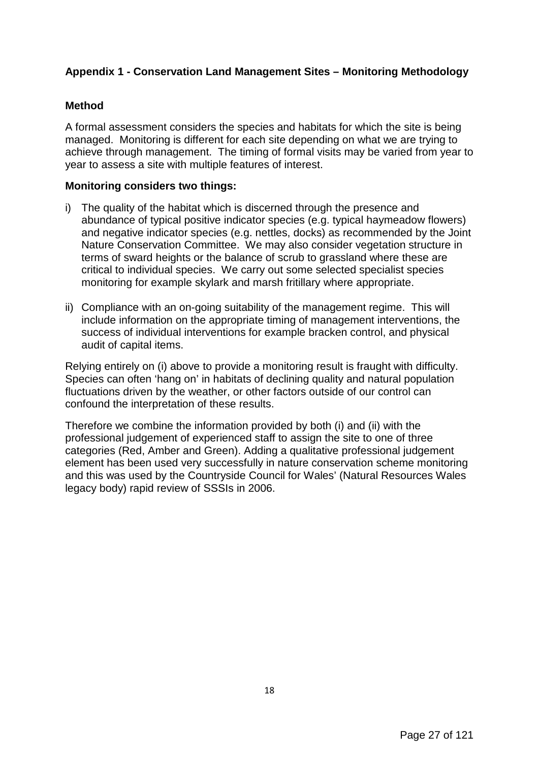# **Appendix 1 - Conservation Land Management Sites – Monitoring Methodology**

### **Method**

A formal assessment considers the species and habitats for which the site is being managed. Monitoring is different for each site depending on what we are trying to achieve through management. The timing of formal visits may be varied from year to year to assess a site with multiple features of interest.

#### **Monitoring considers two things:**

- i) The quality of the habitat which is discerned through the presence and abundance of typical positive indicator species (e.g. typical haymeadow flowers) and negative indicator species (e.g. nettles, docks) as recommended by the Joint Nature Conservation Committee. We may also consider vegetation structure in terms of sward heights or the balance of scrub to grassland where these are critical to individual species. We carry out some selected specialist species monitoring for example skylark and marsh fritillary where appropriate.
- ii) Compliance with an on-going suitability of the management regime. This will include information on the appropriate timing of management interventions, the success of individual interventions for example bracken control, and physical audit of capital items.

Relying entirely on (i) above to provide a monitoring result is fraught with difficulty. Species can often 'hang on' in habitats of declining quality and natural population fluctuations driven by the weather, or other factors outside of our control can confound the interpretation of these results.

Therefore we combine the information provided by both (i) and (ii) with the professional judgement of experienced staff to assign the site to one of three categories (Red, Amber and Green). Adding a qualitative professional judgement element has been used very successfully in nature conservation scheme monitoring and this was used by the Countryside Council for Wales' (Natural Resources Wales legacy body) rapid review of SSSIs in 2006.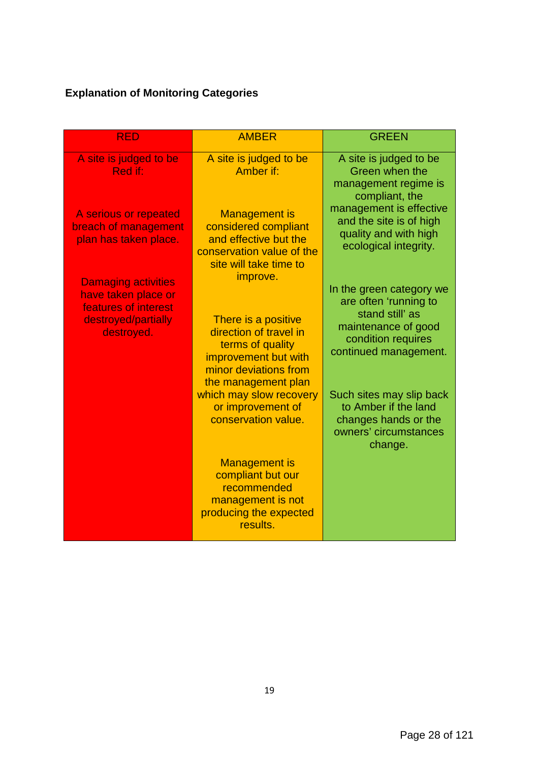# **Explanation of Monitoring Categories**

| <b>RED</b>                                                                                           | <b>AMBER</b>                                                                                                                              | <b>GREEN</b>                                                                                                                               |
|------------------------------------------------------------------------------------------------------|-------------------------------------------------------------------------------------------------------------------------------------------|--------------------------------------------------------------------------------------------------------------------------------------------|
| A site is judged to be<br>Red if:                                                                    | A site is judged to be<br>Amber if:                                                                                                       | A site is judged to be<br>Green when the<br>management regime is<br>compliant, the                                                         |
| A serious or repeated<br>breach of management<br>plan has taken place.<br><b>Damaging activities</b> | <b>Management is</b><br>considered compliant<br>and effective but the<br>conservation value of the<br>site will take time to<br>improve.  | management is effective<br>and the site is of high<br>quality and with high<br>ecological integrity.                                       |
| have taken place or<br>features of interest<br>destroyed/partially<br>destroyed.                     | There is a positive<br>direction of travel in<br>terms of quality<br>improvement but with<br>minor deviations from<br>the management plan | In the green category we<br>are often 'running to<br>stand still' as<br>maintenance of good<br>condition requires<br>continued management. |
|                                                                                                      | which may slow recovery<br>or improvement of<br>conservation value.                                                                       | Such sites may slip back<br>to Amber if the land<br>changes hands or the<br>owners' circumstances<br>change.                               |
|                                                                                                      | <b>Management is</b><br>compliant but our<br>recommended<br>management is not<br>producing the expected<br>results.                       |                                                                                                                                            |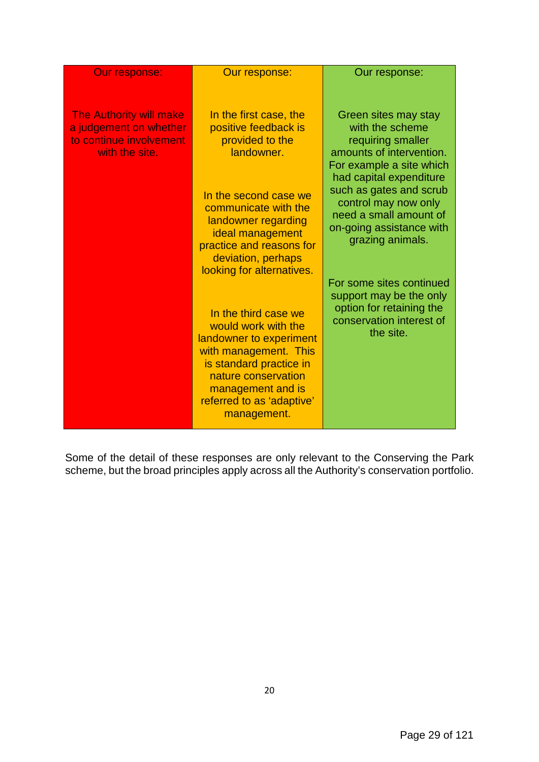| <b>Our response:</b>                                                                                  | Our response:                                                                                                                                                                                                                                   | Our response:                                                                                                                                        |
|-------------------------------------------------------------------------------------------------------|-------------------------------------------------------------------------------------------------------------------------------------------------------------------------------------------------------------------------------------------------|------------------------------------------------------------------------------------------------------------------------------------------------------|
| <b>The Authority will make</b><br>a judgement on whether<br>to continue involvement<br>with the site. | In the first case, the<br>positive feedback is<br>provided to the<br>landowner.                                                                                                                                                                 | Green sites may stay<br>with the scheme<br>requiring smaller<br>amounts of intervention.<br>For example a site which                                 |
|                                                                                                       | In the second case we<br>communicate with the<br>landowner regarding<br>ideal management<br>practice and reasons for<br>deviation, perhaps                                                                                                      | had capital expenditure<br>such as gates and scrub<br>control may now only<br>need a small amount of<br>on-going assistance with<br>grazing animals. |
|                                                                                                       | looking for alternatives.<br>In the third case we<br>would work with the<br>landowner to experiment<br>with management. This<br>is standard practice in<br>nature conservation<br>management and is<br>referred to as 'adaptive'<br>management. | For some sites continued<br>support may be the only<br>option for retaining the<br>conservation interest of<br>the site.                             |

Some of the detail of these responses are only relevant to the Conserving the Park scheme, but the broad principles apply across all the Authority's conservation portfolio.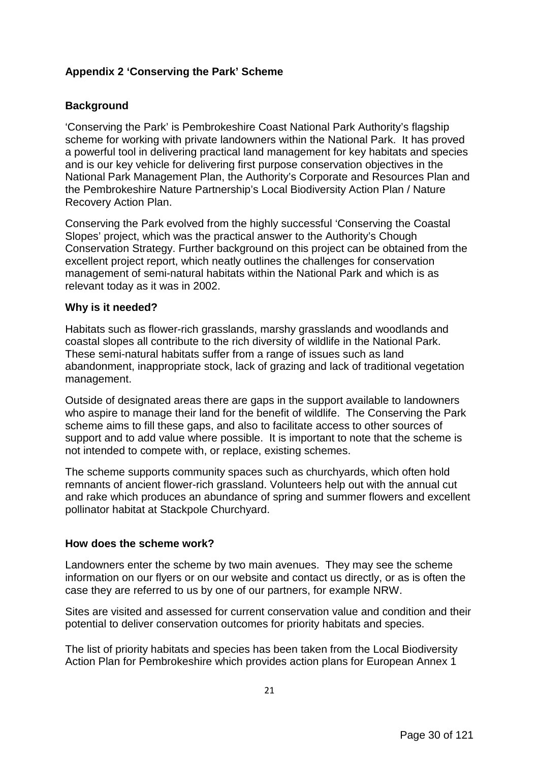# **Appendix 2 'Conserving the Park' Scheme**

# **Background**

'Conserving the Park' is Pembrokeshire Coast National Park Authority's flagship scheme for working with private landowners within the National Park. It has proved a powerful tool in delivering practical land management for key habitats and species and is our key vehicle for delivering first purpose conservation objectives in the National Park Management Plan, the Authority's Corporate and Resources Plan and the Pembrokeshire Nature Partnership's Local Biodiversity Action Plan / Nature Recovery Action Plan.

Conserving the Park evolved from the highly successful 'Conserving the Coastal Slopes' project, which was the practical answer to the Authority's Chough Conservation Strategy. Further background on this project can be obtained from the excellent project report, which neatly outlines the challenges for conservation management of semi-natural habitats within the National Park and which is as relevant today as it was in 2002.

#### **Why is it needed?**

Habitats such as flower-rich grasslands, marshy grasslands and woodlands and coastal slopes all contribute to the rich diversity of wildlife in the National Park. These semi-natural habitats suffer from a range of issues such as land abandonment, inappropriate stock, lack of grazing and lack of traditional vegetation management.

Outside of designated areas there are gaps in the support available to landowners who aspire to manage their land for the benefit of wildlife. The Conserving the Park scheme aims to fill these gaps, and also to facilitate access to other sources of support and to add value where possible. It is important to note that the scheme is not intended to compete with, or replace, existing schemes.

The scheme supports community spaces such as churchyards, which often hold remnants of ancient flower-rich grassland. Volunteers help out with the annual cut and rake which produces an abundance of spring and summer flowers and excellent pollinator habitat at Stackpole Churchyard.

#### **How does the scheme work?**

Landowners enter the scheme by two main avenues. They may see the scheme information on our flyers or on our website and contact us directly, or as is often the case they are referred to us by one of our partners, for example NRW.

Sites are visited and assessed for current conservation value and condition and their potential to deliver conservation outcomes for priority habitats and species.

The list of priority habitats and species has been taken from the Local Biodiversity Action Plan for Pembrokeshire which provides action plans for European Annex 1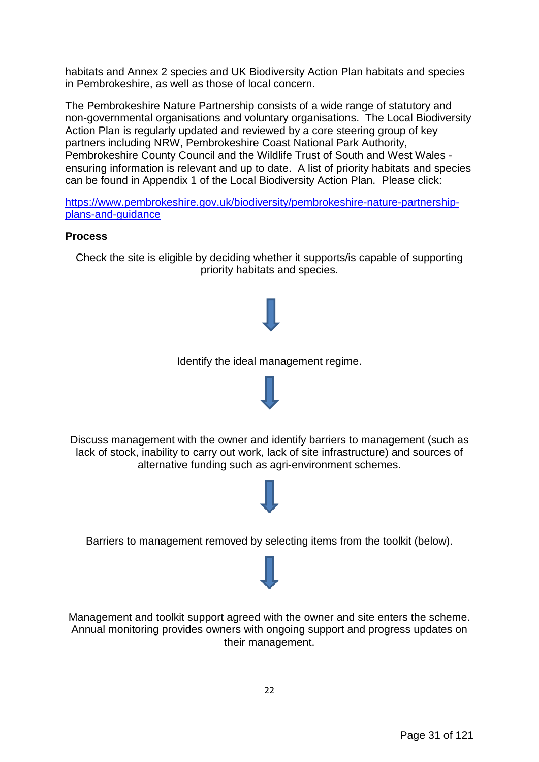habitats and Annex 2 species and UK Biodiversity Action Plan habitats and species in Pembrokeshire, as well as those of local concern.

The Pembrokeshire Nature Partnership consists of a wide range of statutory and non-governmental organisations and voluntary organisations. The Local Biodiversity Action Plan is regularly updated and reviewed by a core steering group of key partners including NRW, Pembrokeshire Coast National Park Authority, Pembrokeshire County Council and the Wildlife Trust of South and West Wales ensuring information is relevant and up to date. A list of priority habitats and species can be found in Appendix 1 of the Local Biodiversity Action Plan. Please click:

[https://www.pembrokeshire.gov.uk/biodiversity/pembrokeshire-nature-partnership](https://www.pembrokeshire.gov.uk/biodiversity/pembrokeshire-nature-partnership-plans-and-guidance)[plans-and-guidance](https://www.pembrokeshire.gov.uk/biodiversity/pembrokeshire-nature-partnership-plans-and-guidance)

#### **Process**

Check the site is eligible by deciding whether it supports/is capable of supporting priority habitats and species.



Identify the ideal management regime.



Management and toolkit support agreed with the owner and site enters the scheme. Annual monitoring provides owners with ongoing support and progress updates on their management.